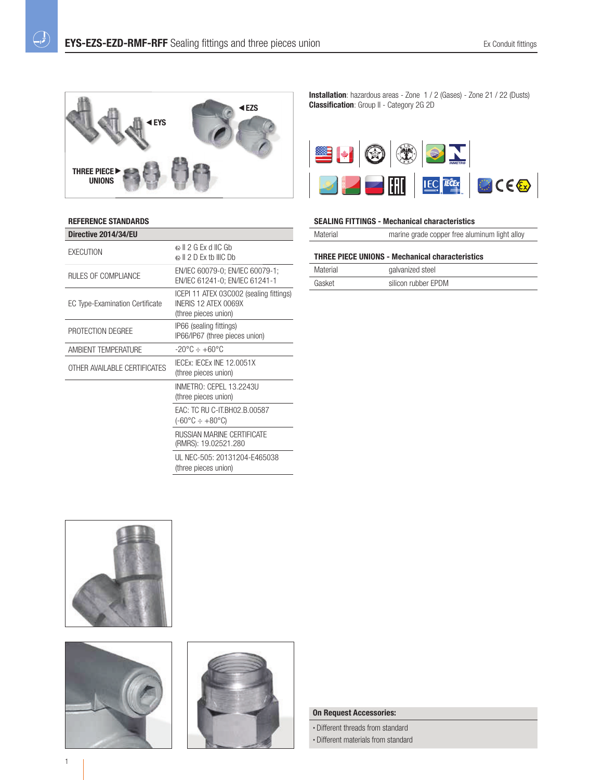

## **REFERENCE STANDARDS**

 $\overline{\mathcal{L}}$ 

| ଈା ା 2 G Fx d IIC Gh<br>$\circ$ $\parallel$ 2 D Fx th IIIC Dh                           |
|-----------------------------------------------------------------------------------------|
| EN/IEC 60079-0; EN/IEC 60079-1;<br>EN/IEC 61241-0; EN/IEC 61241-1                       |
| ICEPI 11 ATEX 03C002 (sealing fittings)<br>INFRIS 12 ATFX 0069X<br>(three pieces union) |
| IP66 (sealing fittings)<br>IP66/IP67 (three pieces union)                               |
| $-20^{\circ}$ C $\div$ +60 °C                                                           |
| IECEX: IECEX INE 12.0051X<br>(three pieces union)                                       |
| INMETRO: CEPEL 13.2243U<br>(three pieces union)                                         |
| EAC: TC RU C-IT.BH02.B.00587<br>(-60°C ÷ +80°C)                                         |
| RUSSIAN MARINE CERTIFICATE<br>(RMRS): 19.02521.280                                      |
| UL NEC-505: 20131204-E465038<br>(three pieces union)                                    |
|                                                                                         |

**Installation**: hazardous areas - Zone 1 / 2 (Gases) - Zone 21 / 22 (Dusts) **Classification**: Group II - Category 2G 2D



## **SEALING FITTINGS - Mechanical characteristics**

| Material | marine grade copper free aluminum light alloy |  |
|----------|-----------------------------------------------|--|
|          |                                               |  |

# **THREE PIECE UNIONS - Mechanical characteristics**

| Material | galvanized steel    |  |
|----------|---------------------|--|
| Gasket   | silicon rubber EPDM |  |







#### **On Request Accessories:**

• Different threads from standard • Different materials from standard